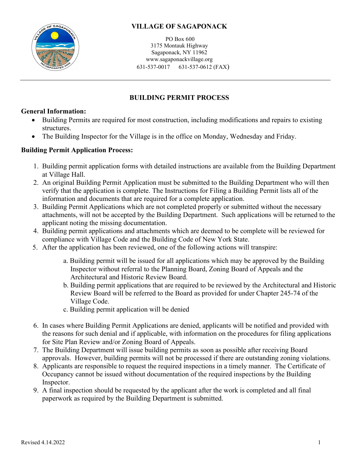

PO Box 600 3175 Montauk Highway Sagaponack, NY 11962 www.sagaponackvillage.org 631-537-0017 631-537-0612 (FAX)

## **BUILDING PERMIT PROCESS**

### **General Information:**

- Building Permits are required for most construction, including modifications and repairs to existing structures.
- The Building Inspector for the Village is in the office on Monday, Wednesday and Friday.

### **Building Permit Application Process:**

- 1. Building permit application forms with detailed instructions are available from the Building Department at Village Hall.
- 2. An original Building Permit Application must be submitted to the Building Department who will then verify that the application is complete. The Instructions for Filing a Building Permit lists all of the information and documents that are required for a complete application.
- 3. Building Permit Applications which are not completed properly or submitted without the necessary attachments, will not be accepted by the Building Department. Such applications will be returned to the applicant noting the missing documentation.
- 4. Building permit applications and attachments which are deemed to be complete will be reviewed for compliance with Village Code and the Building Code of New York State.
- 5. After the application has been reviewed, one of the following actions will transpire:
	- a. Building permit will be issued for all applications which may be approved by the Building Inspector without referral to the Planning Board, Zoning Board of Appeals and the Architectural and Historic Review Board.
	- b. Building permit applications that are required to be reviewed by the Architectural and Historic Review Board will be referred to the Board as provided for under Chapter 245-74 of the Village Code.
	- c. Building permit application will be denied
- 6. In cases where Building Permit Applications are denied, applicants will be notified and provided with the reasons for such denial and if applicable, with information on the procedures for filing applications for Site Plan Review and/or Zoning Board of Appeals.
- 7. The Building Department will issue building permits as soon as possible after receiving Board approvals. However, building permits will not be processed if there are outstanding zoning violations.
- 8. Applicants are responsible to request the required inspections in a timely manner. The Certificate of Occupancy cannot be issued without documentation of the required inspections by the Building Inspector.
- 9. A final inspection should be requested by the applicant after the work is completed and all final paperwork as required by the Building Department is submitted.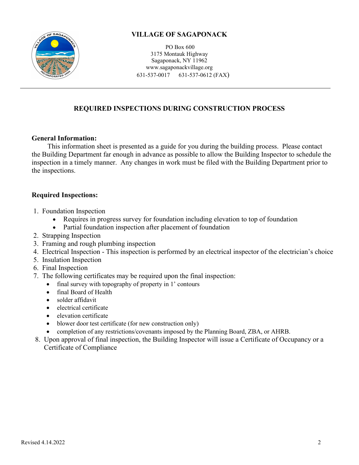

PO Box 600 3175 Montauk Highway Sagaponack, NY 11962 www.sagaponackvillage.org 631-537-0017 631-537-0612 (FAX)

## **REQUIRED INSPECTIONS DURING CONSTRUCTION PROCESS**

#### **General Information:**

 This information sheet is presented as a guide for you during the building process. Please contact the Building Department far enough in advance as possible to allow the Building Inspector to schedule the inspection in a timely manner. Any changes in work must be filed with the Building Department prior to the inspections.

### **Required Inspections:**

- 1. Foundation Inspection
	- Requires in progress survey for foundation including elevation to top of foundation
	- Partial foundation inspection after placement of foundation
- 2. Strapping Inspection
- 3. Framing and rough plumbing inspection
- 4. Electrical Inspection This inspection is performed by an electrical inspector of the electrician's choice
- 5. Insulation Inspection
- 6. Final Inspection
- 7. The following certificates may be required upon the final inspection:
	- final survey with topography of property in 1' contours
	- final Board of Health
	- solder affidavit
	- electrical certificate
	- elevation certificate
	- blower door test certificate (for new construction only)
	- completion of any restrictions/covenants imposed by the Planning Board, ZBA, or AHRB.
- 8. Upon approval of final inspection, the Building Inspector will issue a Certificate of Occupancy or a Certificate of Compliance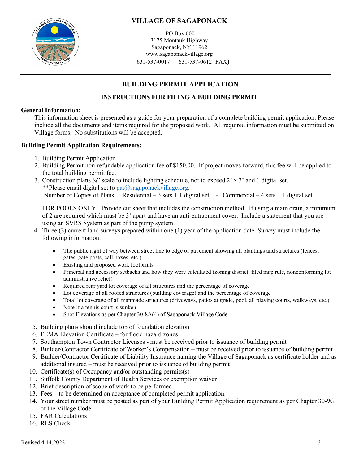

PO Box 600 3175 Montauk Highway Sagaponack, NY 11962 www.sagaponackvillage.org 631-537-0017 631-537-0612 (FAX)

## **BUILDING PERMIT APPLICATION**

### **INSTRUCTIONS FOR FILING A BUILDING PERMIT**

#### **General Information:**

 This information sheet is presented as a guide for your preparation of a complete building permit application. Please include all the documents and items required for the proposed work. All required information must be submitted on Village forms. No substitutions will be accepted.

#### **Building Permit Application Requirements:**

- 1. Building Permit Application
- 2. Building Permit non-refundable application fee of \$150.00. If project moves forward, this fee will be applied to the total building permit fee.
- 3. Construction plans ¼" scale to include lighting schedule, not to exceed 2' x 3' and 1 digital set. \*\*Please email digital set to  $pat(\omega)$ sagaponackvillage.org. Number of Copies of Plans: Residential – 3 sets + 1 digital set - Commercial – 4 sets + 1 digital set

FOR POOLS ONLY: Provide cut sheet that includes the construction method. If using a main drain, a minimum of 2 are required which must be 3' apart and have an anti-entrapment cover. Include a statement that you are using an SVRS System as part of the pump system.

- 4. Three (3) current land surveys prepared within one (1) year of the application date. Survey must include the following information:
	- The public right of way between street line to edge of pavement showing all plantings and structures (fences, gates, gate posts, call boxes, etc.)
	- Existing and proposed work footprints
	- Principal and accessory setbacks and how they were calculated (zoning district, filed map rule, nonconforming lot administrative relief)
	- Required rear yard lot coverage of all structures and the percentage of coverage
	- Lot coverage of all roofed structures (building coverage) and the percentage of coverage
	- Total lot coverage of all manmade structures (driveways, patios at grade, pool, all playing courts, walkways, etc.)
	- Note if a tennis court is sunken
	- Spot Elevations as per Chapter 30-8A(4) of Sagaponack Village Code
- 5. Building plans should include top of foundation elevation
- 6. FEMA Elevation Certificate for flood hazard zones
- 7. Southampton Town Contractor Licenses must be received prior to issuance of building permit
- 8. Builder/Contractor Certificate of Worker's Compensation must be received prior to issuance of building permit
- 9. Builder/Contractor Certificate of Liability Insurance naming the Village of Sagaponack as certificate holder and as additional insured – must be received prior to issuance of building permit
- 10. Certificate(s) of Occupancy and/or outstanding permits(s)
- 11. Suffolk County Department of Health Services or exemption waiver
- 12. Brief description of scope of work to be performed
- 13. Fees to be determined on acceptance of completed permit application.
- 14. Your street number must be posted as part of your Building Permit Application requirement as per Chapter 30-9G of the Village Code
- 15. FAR Calculations
- 16. RES Check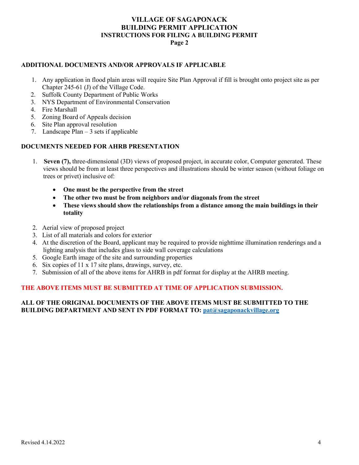#### **VILLAGE OF SAGAPONACK BUILDING PERMIT APPLICATION INSTRUCTIONS FOR FILING A BUILDING PERMIT Page 2**

#### **ADDITIONAL DOCUMENTS AND/OR APPROVALS IF APPLICABLE**

- 1. Any application in flood plain areas will require Site Plan Approval if fill is brought onto project site as per Chapter 245-61 (J) of the Village Code.
- 2. Suffolk County Department of Public Works
- 3. NYS Department of Environmental Conservation
- 4. Fire Marshall
- 5. Zoning Board of Appeals decision
- 6. Site Plan approval resolution
- 7. Landscape  $Plan 3$  sets if applicable

#### **DOCUMENTS NEEDED FOR AHRB PRESENTATION**

- 1. **Seven (7),** three-dimensional (3D) views of proposed project, in accurate color, Computer generated. These views should be from at least three perspectives and illustrations should be winter season (without foliage on trees or privet) inclusive of:
	- **One must be the perspective from the street**
	- **The other two must be from neighbors and/or diagonals from the street**
	- **These views should show the relationships from a distance among the main buildings in their totality**
- 2. Aerial view of proposed project
- 3. List of all materials and colors for exterior
- 4. At the discretion of the Board, applicant may be required to provide nighttime illumination renderings and a lighting analysis that includes glass to side wall coverage calculations
- 5. Google Earth image of the site and surrounding properties
- 6. Six copies of 11 x 17 site plans, drawings, survey, etc.
- 7. Submission of all of the above items for AHRB in pdf format for display at the AHRB meeting.

#### **THE ABOVE ITEMS MUST BE SUBMITTED AT TIME OF APPLICATION SUBMISSION.**

#### **ALL OF THE ORIGINAL DOCUMENTS OF THE ABOVE ITEMS MUST BE SUBMITTED TO THE BUILDING DEPARTMENT AND SENT IN PDF FORMAT TO: [pat@sagaponackvillage.org](mailto:pat@sagaponackvillage.org)**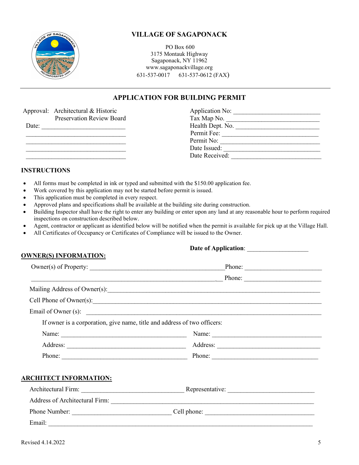

PO Box 600 3175 Montauk Highway Sagaponack, NY 11962 www.sagaponackvillage.org 631-537-0017 631-537-0612 (FAX)

### **APPLICATION FOR BUILDING PERMIT**

|       | Approval: Architectural & Historic | Application No:  |  |
|-------|------------------------------------|------------------|--|
|       | <b>Preservation Review Board</b>   | Tax Map No.      |  |
| Date: |                                    | Health Dept. No. |  |
|       |                                    | Permit Fee:      |  |
|       |                                    | Permit No:       |  |
|       |                                    | Date Issued:     |  |
|       |                                    | Date Received:   |  |

#### **INSTRUCTIONS**

- All forms must be completed in ink or typed and submitted with the \$150.00 application fee.
- Work covered by this application may not be started before permit is issued.
- This application must be completed in every respect.
- Approved plans and specifications shall be available at the building site during construction.
- Building Inspector shall have the right to enter any building or enter upon any land at any reasonable hour to perform required inspections on construction described below.
- Agent, contractor or applicant as identified below will be notified when the permit is available for pick up at the Village Hall.
- All Certificates of Occupancy or Certificates of Compliance will be issued to the Owner.

| <b>OWNER(S) INFORMATION:</b>                                             |                         |  |
|--------------------------------------------------------------------------|-------------------------|--|
|                                                                          | Phone:                  |  |
|                                                                          |                         |  |
|                                                                          |                         |  |
|                                                                          | Cell Phone of Owner(s): |  |
|                                                                          |                         |  |
| If owner is a corporation, give name, title and address of two officers: |                         |  |
|                                                                          | Name:                   |  |
|                                                                          |                         |  |
|                                                                          |                         |  |
| <b>ARCHITECT INFORMATION:</b>                                            |                         |  |
|                                                                          |                         |  |
|                                                                          |                         |  |
|                                                                          |                         |  |
| Email:                                                                   |                         |  |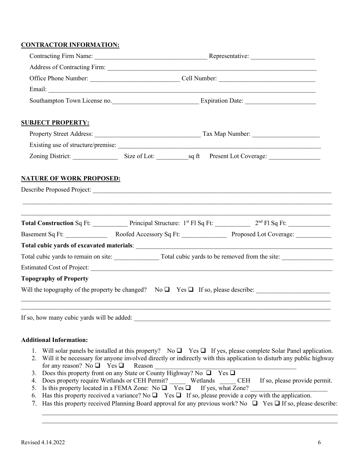#### **CONTRACTOR INFORMATION:**

| <b>SUBJECT PROPERTY:</b>                                  |                                                                                                                                                                                                                                                         |  |
|-----------------------------------------------------------|---------------------------------------------------------------------------------------------------------------------------------------------------------------------------------------------------------------------------------------------------------|--|
|                                                           |                                                                                                                                                                                                                                                         |  |
|                                                           |                                                                                                                                                                                                                                                         |  |
|                                                           | Zoning District: Size of Lot: sq ft Present Lot Coverage: _______________________                                                                                                                                                                       |  |
| <b>NATURE OF WORK PROPOSED:</b>                           |                                                                                                                                                                                                                                                         |  |
|                                                           |                                                                                                                                                                                                                                                         |  |
|                                                           |                                                                                                                                                                                                                                                         |  |
|                                                           | Total Construction Sq Ft: Principal Structure: 1 <sup>st</sup> Fl Sq Ft: 2 <sup>nd</sup> Fl Sq Ft: 2 <sup>nd</sup> Fl Sq Ft:                                                                                                                            |  |
|                                                           |                                                                                                                                                                                                                                                         |  |
|                                                           |                                                                                                                                                                                                                                                         |  |
|                                                           |                                                                                                                                                                                                                                                         |  |
|                                                           |                                                                                                                                                                                                                                                         |  |
| <b>Topography of Property</b>                             |                                                                                                                                                                                                                                                         |  |
|                                                           | ,我们也不能在这里的时候,我们也不能在这里的时候,我们也不能会在这里,我们也不能会在这里的时候,我们也不能会在这里的时候,我们也不能会在这里的时候,我们也不能会                                                                                                                                                                        |  |
| If so, how many cubic yards will be added:                |                                                                                                                                                                                                                                                         |  |
|                                                           |                                                                                                                                                                                                                                                         |  |
| <b>Additional Information:</b>                            |                                                                                                                                                                                                                                                         |  |
| 1.<br>2.<br>for any reason? No $\Box$ Yes $\Box$          | Will solar panels be installed at this property? No $\Box$ Yes $\Box$ If yes, please complete Solar Panel application.<br>Will it be necessary for anyone involved directly or indirectly with this application to disturb any public highway<br>Reason |  |
| 3.<br>Does property require Wetlands or CEH Permit?<br>4. | Does this property front on any State or County Highway? No $\Box$<br>$Yes \square$<br>If so, please provide permit.<br>Wetlands<br><b>CEH</b>                                                                                                          |  |

- 5. Is this property located in a FEMA Zone:  $\overline{N}$   $\overline{Q}$   $\overline{Y}$  es  $\overline{Q}$  If yes, what Zone?
- 6. Has this property received a variance? No  $\Box$  Yes  $\Box$  If so, please provide a copy with the application.
- 7. Has this property received Planning Board approval for any previous work? No  $\Box$  Yes  $\Box$  If so, please describe:

 $\_$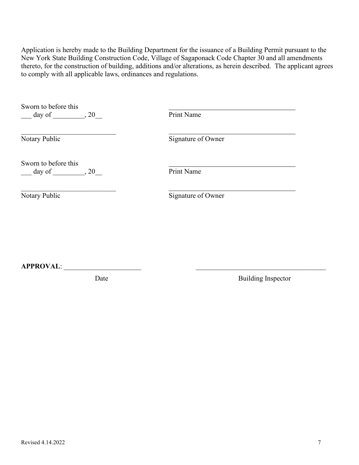Application is hereby made to the Building Department for the issuance of a Building Permit pursuant to the New York State Building Construction Code, Village of Sagaponack Code Chapter 30 and all amendments thereto, for the construction of building, additions and/or alterations, as herein described. The applicant agrees to comply with all applicable laws, ordinances and regulations.

| Sworn to before this<br>$day of$ , 20 | Print Name         |
|---------------------------------------|--------------------|
| Notary Public                         | Signature of Owner |
| Sworn to before this<br>$day of$ , 20 | Print Name         |
| Notary Public                         | Signature of Owner |
|                                       |                    |
|                                       |                    |

**APPROVAL**: \_\_\_\_\_\_\_\_\_\_\_\_\_\_\_\_\_\_\_\_\_\_ \_\_\_\_\_\_\_\_\_\_\_\_\_\_\_\_\_\_\_\_\_\_\_\_\_\_\_\_\_\_\_\_\_\_\_\_\_

 $\blacksquare$ 

Date Building Inspector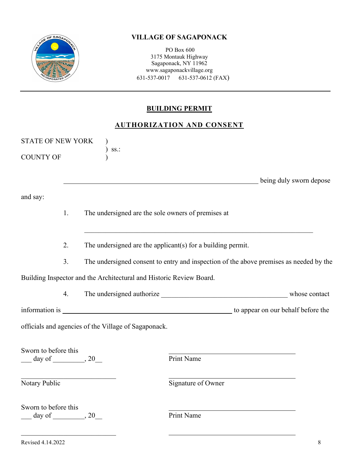

PO Box 600 3175 Montauk Highway Sagaponack, NY 11962 www.sagaponackvillage.org 631-537-0017 631-537-0612 (FAX)

## **BUILDING PERMIT**

## **AUTHORIZATION AND CONSENT**

|                                                                    |                     |                                                                     | <u>AUTHUNIZATION AND CONSENT</u>                                                                                     |                         |
|--------------------------------------------------------------------|---------------------|---------------------------------------------------------------------|----------------------------------------------------------------------------------------------------------------------|-------------------------|
| <b>STATE OF NEW YORK</b><br><b>COUNTY OF</b>                       |                     | SS.                                                                 |                                                                                                                      |                         |
| and say:                                                           |                     |                                                                     | <u> 1990 - Jan James James James James James James James James James James James James James James James James J</u> | being duly sworn depose |
|                                                                    | 1.                  | The undersigned are the sole owners of premises at                  |                                                                                                                      |                         |
|                                                                    | 2.                  |                                                                     | The undersigned are the applicant(s) for a building permit.                                                          |                         |
|                                                                    | 3.                  |                                                                     | The undersigned consent to entry and inspection of the above premises as needed by the                               |                         |
|                                                                    |                     | Building Inspector and the Architectural and Historic Review Board. |                                                                                                                      |                         |
|                                                                    | 4.                  |                                                                     |                                                                                                                      |                         |
|                                                                    |                     |                                                                     |                                                                                                                      |                         |
|                                                                    |                     | officials and agencies of the Village of Sagaponack.                |                                                                                                                      |                         |
| Sworn to before this<br>$\frac{day \text{ of }$ $\frac{1}{2}$ , 20 |                     |                                                                     | Print Name                                                                                                           |                         |
| Notary Public                                                      |                     |                                                                     | Signature of Owner                                                                                                   |                         |
| Sworn to before this<br>day of                                     | $\frac{1}{20}$ , 20 |                                                                     | Print Name                                                                                                           |                         |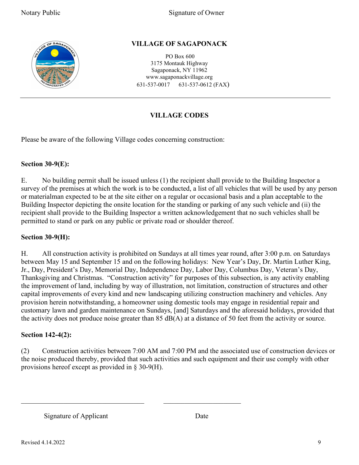

PO Box 600 3175 Montauk Highway Sagaponack, NY 11962 www.sagaponackvillage.org 631-537-0017 631-537-0612 (FAX)

## **VILLAGE CODES**

Please be aware of the following Village codes concerning construction:

### **Section 30-9(E):**

E. No building permit shall be issued unless (1) the recipient shall provide to the Building Inspector a survey of the premises at which the work is to be conducted, a list of all vehicles that will be used by any person or materialman expected to be at the site either on a regular or occasional basis and a plan acceptable to the Building Inspector depicting the onsite location for the standing or parking of any such vehicle and (ii) the recipient shall provide to the Building Inspector a written acknowledgement that no such vehicles shall be permitted to stand or park on any public or private road or shoulder thereof.

### **Section 30-9(H):**

H. All construction activity is prohibited on Sundays at all times year round, after 3:00 p.m. on Saturdays between May 15 and September 15 and on the following holidays: New Year's Day, Dr. Martin Luther King, Jr., Day, President's Day, Memorial Day, Independence Day, Labor Day, Columbus Day, Veteran's Day, Thanksgiving and Christmas. "Construction activity" for purposes of this subsection, is any activity enabling the improvement of land, including by way of illustration, not limitation, construction of structures and other capital improvements of every kind and new landscaping utilizing construction machinery and vehicles. Any provision herein notwithstanding, a homeowner using domestic tools may engage in residential repair and customary lawn and garden maintenance on Sundays, [and] Saturdays and the aforesaid holidays, provided that the activity does not produce noise greater than 85 dB(A) at a distance of 50 feet from the activity or source.

### **Section 142-4(2):**

(2) Construction activities between 7:00 AM and 7:00 PM and the associated use of construction devices or the noise produced thereby, provided that such activities and such equipment and their use comply with other provisions hereof except as provided in § 30-9(H).

 $\mathcal{L}_\text{max}$  , and the contribution of the contribution of  $\mathcal{L}_\text{max}$ 

Signature of Applicant Date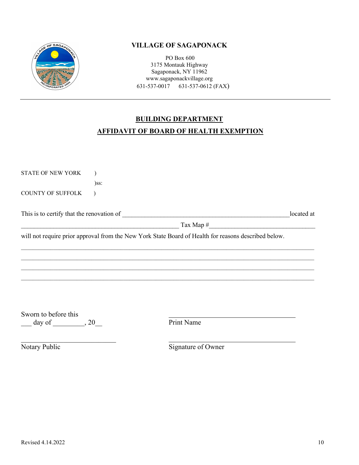

PO Box 600 3175 Montauk Highway Sagaponack, NY 11962 www.sagaponackvillage.org 631-537-0017 631-537-0612 (FAX)

# **BUILDING DEPARTMENT AFFIDAVIT OF BOARD OF HEALTH EXEMPTION**

STATE OF NEW YORK ) )ss: COUNTY OF SUFFOLK ) This is to certify that the renovation of \_\_\_\_\_\_\_\_\_\_\_\_\_\_\_\_\_\_\_\_\_\_\_\_\_\_\_\_\_\_\_\_\_\_\_\_\_\_\_\_\_\_\_\_\_\_\_\_\_\_\_\_located at \_\_\_\_\_\_\_\_\_\_\_\_\_\_\_\_\_\_\_\_\_\_\_\_\_\_\_\_\_\_\_\_\_\_\_\_\_\_\_\_\_\_\_\_\_\_\_\_\_ Tax Map #\_\_\_\_\_\_\_\_\_\_\_\_\_\_\_\_\_\_\_\_\_\_\_\_\_\_\_\_\_\_\_\_\_ will not require prior approval from the New York State Board of Health for reasons described below.  $\mathcal{L}_\mathcal{L} = \mathcal{L}_\mathcal{L} = \mathcal{L}_\mathcal{L} = \mathcal{L}_\mathcal{L} = \mathcal{L}_\mathcal{L} = \mathcal{L}_\mathcal{L} = \mathcal{L}_\mathcal{L} = \mathcal{L}_\mathcal{L} = \mathcal{L}_\mathcal{L} = \mathcal{L}_\mathcal{L} = \mathcal{L}_\mathcal{L} = \mathcal{L}_\mathcal{L} = \mathcal{L}_\mathcal{L} = \mathcal{L}_\mathcal{L} = \mathcal{L}_\mathcal{L} = \mathcal{L}_\mathcal{L} = \mathcal{L}_\mathcal{L}$ 

 $\mathcal{L}_\mathcal{L} = \{ \mathcal{L}_\mathcal{L} = \{ \mathcal{L}_\mathcal{L} = \{ \mathcal{L}_\mathcal{L} = \{ \mathcal{L}_\mathcal{L} = \{ \mathcal{L}_\mathcal{L} = \{ \mathcal{L}_\mathcal{L} = \{ \mathcal{L}_\mathcal{L} = \{ \mathcal{L}_\mathcal{L} = \{ \mathcal{L}_\mathcal{L} = \{ \mathcal{L}_\mathcal{L} = \{ \mathcal{L}_\mathcal{L} = \{ \mathcal{L}_\mathcal{L} = \{ \mathcal{L}_\mathcal{L} = \{ \mathcal{L}_\mathcal{$  $\mathcal{L}_\mathcal{L} = \{ \mathcal{L}_\mathcal{L} = \{ \mathcal{L}_\mathcal{L} = \{ \mathcal{L}_\mathcal{L} = \{ \mathcal{L}_\mathcal{L} = \{ \mathcal{L}_\mathcal{L} = \{ \mathcal{L}_\mathcal{L} = \{ \mathcal{L}_\mathcal{L} = \{ \mathcal{L}_\mathcal{L} = \{ \mathcal{L}_\mathcal{L} = \{ \mathcal{L}_\mathcal{L} = \{ \mathcal{L}_\mathcal{L} = \{ \mathcal{L}_\mathcal{L} = \{ \mathcal{L}_\mathcal{L} = \{ \mathcal{L}_\mathcal{$  $\mathcal{L}_\mathcal{L} = \mathcal{L}_\mathcal{L} = \mathcal{L}_\mathcal{L} = \mathcal{L}_\mathcal{L} = \mathcal{L}_\mathcal{L} = \mathcal{L}_\mathcal{L} = \mathcal{L}_\mathcal{L} = \mathcal{L}_\mathcal{L} = \mathcal{L}_\mathcal{L} = \mathcal{L}_\mathcal{L} = \mathcal{L}_\mathcal{L} = \mathcal{L}_\mathcal{L} = \mathcal{L}_\mathcal{L} = \mathcal{L}_\mathcal{L} = \mathcal{L}_\mathcal{L} = \mathcal{L}_\mathcal{L} = \mathcal{L}_\mathcal{L}$ 

Sworn to before this  $\frac{1}{\text{print Name}}$  day of  $\frac{1}{\text{print Name}}$ 

\_\_\_\_\_\_\_\_\_\_\_\_\_\_\_\_\_\_\_\_\_\_\_\_\_\_\_

Notary Public Signature of Owner